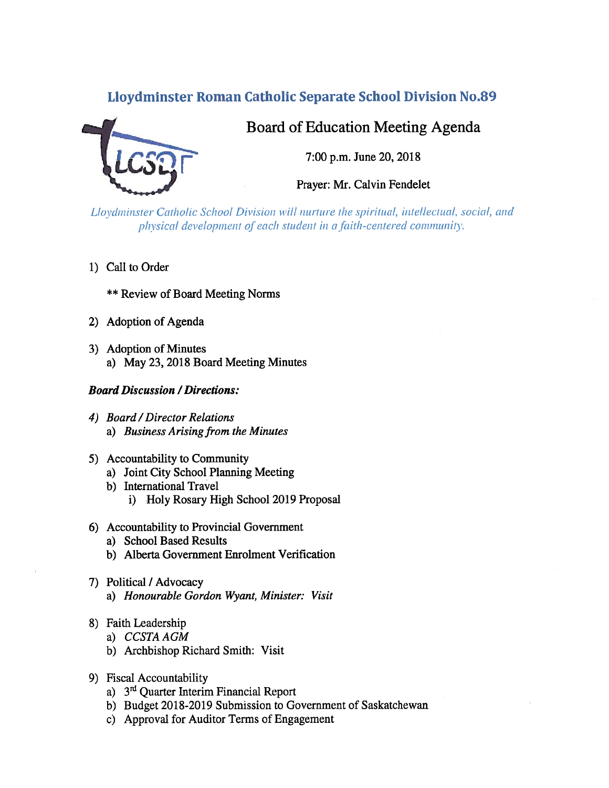# **Lloydminster Roman Catholic Separate School Division No.89**



# Board of Education Meeting Agenda

7:00 p.m. June 20, 2018

Prayer: Mr. Calvin Fendelet

Lloydminster Catholic School Division will nurture the spiritual, intellectual, social, and physical development of each student in a faith-centered community.

1) Call to Order

**\*\* Review of Board Meeting Norms** 

- 2) Adoption of Agenda
- 3) Adoption of Minutes a) May 23, 2018 Board Meeting Minutes

#### **Board Discussion / Directions:**

- 4) Board / Director Relations a) Business Arising from the Minutes
- 5) Accountability to Community
	- a) Joint City School Planning Meeting
	- b) International Travel
		- i) Holy Rosary High School 2019 Proposal
- 6) Accountability to Provincial Government
	- a) School Based Results
	- b) Alberta Government Enrolment Verification
- 7) Political / Advocacy a) Honourable Gordon Wyant, Minister: Visit
- 8) Faith Leadership
	- a) CCSTA AGM
	- b) Archbishop Richard Smith: Visit
- 9) Fiscal Accountability
	- a) 3<sup>rd</sup> Quarter Interim Financial Report
	- b) Budget 2018-2019 Submission to Government of Saskatchewan
	- c) Approval for Auditor Terms of Engagement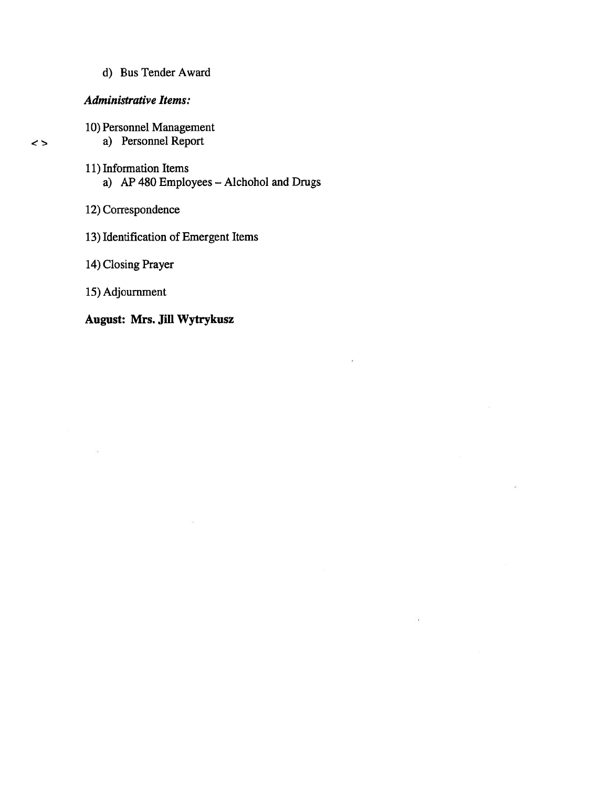d) Bus Tender Award

#### Administrative Items:

 $\leftrightarrow$ 

10) Personnel Management

# a) Personnel Report

11) Information Items a) AP 480 Employees — Aichohol and Drugs

 $\cdot$ 

- 12) Correspondence
- 13) Identification of Emergent Items
- 14) Closing Prayer
- 15) Adjournment

 $\alpha$ 

# August: Mrs. Jill Wytrykusz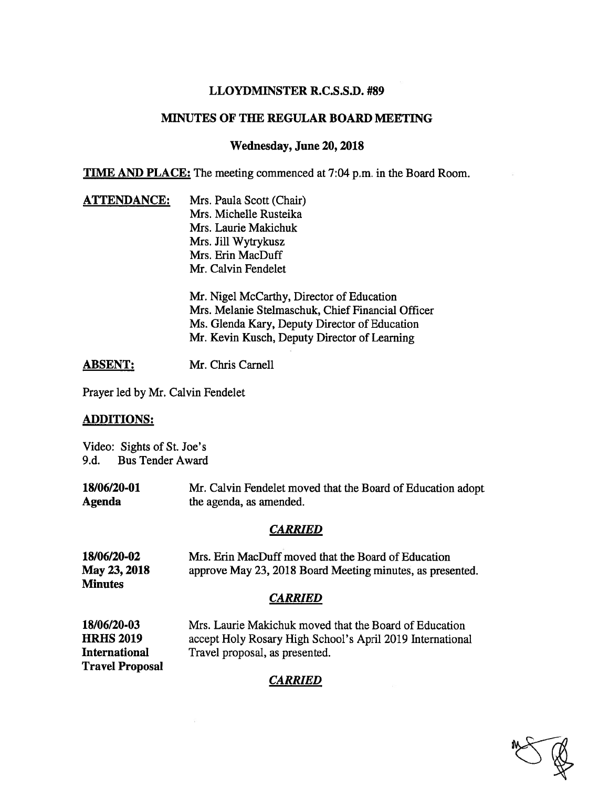#### LLOYDMINSTER R.C.S.S.D. #89

## MINUTES OF THE REGULAR BOARD MEETING

#### Wednesday, June 20, 2018

**TIME AND PLACE:** The meeting commenced at 7:04 p.m. in the Board Room.

**ATTENDANCE:** Mrs. Paula Scott (Chair) Mrs. Michelle Rusteika Mrs. Laurie Makichuk Mrs. Jill Wytrykusz Mrs. Erin MacDuff Mr. Calvin Fendelet

> Mr. Nigel McCarthy, Director of Education Mrs. Melanie Stelmaschuk, Chief Financial Officer Ms. Glenda Kary, Deputy Director of Education Mr. Kevin Kusch, Deputy Director of Learning

ABSENT: Mr. Chris Carnell

Prayer led by Mr. Calvin Fendelet

#### ADDITIONS:

Video: Sights of St. Joe's 9.d. Bus Tender Award

18/06/20-01 Mr. Calvin Fendelet moved that the Board of Education adopt Agenda the agenda, as amended.

## CARRIED

| 18/06/20-02<br>May 23, 2018<br><b>Minutes</b> | Mrs. Erin MacDuff moved that the Board of Education<br>approve May 23, 2018 Board Meeting minutes, as presented.    |
|-----------------------------------------------|---------------------------------------------------------------------------------------------------------------------|
|                                               | <b>CARRIED</b>                                                                                                      |
| 18/06/20-03<br><b>HRHS 2019</b>               | Mrs. Laurie Makichuk moved that the Board of Education<br>accept Holy Rosary High School's April 2019 International |
| International                                 | Travel proposal, as presented.                                                                                      |

Travel Proposal

# **CARRIED**